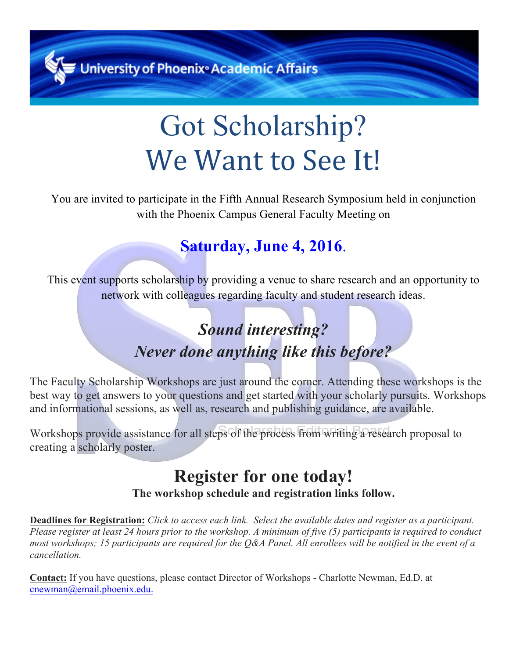**University of Phoenix<sup>®</sup> Academic Affairs** 

# Got Scholarship? We Want to See It!

You are invited to participate in the Fifth Annual Research Symposium held in conjunction with the Phoenix Campus General Faculty Meeting on

## **Saturday, June 4, 2016**.

This event supports scholarship by providing a venue to share research and an opportunity to network with colleagues regarding faculty and student research ideas.

# *Sound interesting? Never done anything like this before?*

The Faculty Scholarship Workshops are just around the corner. Attending these workshops is the best way to get answers to your questions and get started with your scholarly pursuits. Workshops and informational sessions, as well as, research and publishing guidance, are available.

Workshops provide assistance for all steps of the process from writing a research proposal to creating a scholarly poster.

### **Register for one today! The workshop schedule and registration links follow.**

**Deadlines for Registration:** *Click to access each link. Select the available dates and register as a participant. Please register at least 24 hours prior to the workshop. A minimum of five (5) participants is required to conduct most workshops; 15 participants are required for the Q&A Panel. All enrollees will be notified in the event of a cancellation.*

**Contact:** If you have questions, please contact Director of Workshops - Charlotte Newman, Ed.D. at cnewman@email.phoenix.edu.